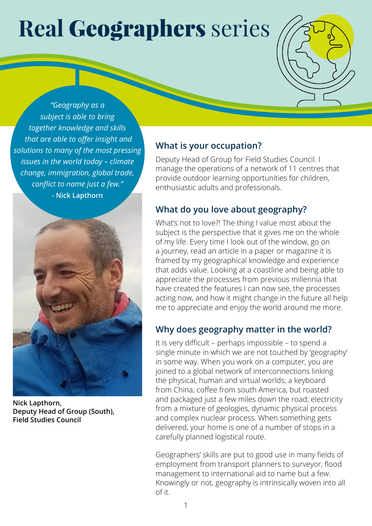# **Real** Geographers series

*"Geography as a subject is able to bring together knowledge and skills that are able to offer insight and solutions to many of the most pressing issues in the world today – climate change, immigration, global trade, conflict to name just a few."*  **- Nick Lapthorn**



**Nick Lapthorn, Deputy Head of Group (South), Field Studies Council**

#### **What is your occupation?**

Deputy Head of Group for Field Studies Council. I manage the operations of a network of 11 centres that provide outdoor learning opportunities for children, enthusiastic adults and professionals.

#### **What do you love about geography?**

What's not to love?! The thing I value most about the subject is the perspective that it gives me on the whole of my life. Every time I look out of the window, go on a journey, read an article in a paper or magazine it is framed by my geographical knowledge and experience that adds value. Looking at a coastline and being able to appreciate the processes from previous millennia that have created the features I can now see, the processes acting now, and how it might change in the future all help me to appreciate and enjoy the world around me more.

## **Why does geography matter in the world?**

It is very difficult – perhaps impossible – to spend a single minute in which we are not touched by 'geography' in some way. When you work on a computer, you are joined to a global network of interconnections linking the physical, human and virtual worlds; a keyboard from China; coffee from south America, but roasted and packaged just a few miles down the road; electricity from a mixture of geologies, dynamic physical process and complex nuclear process. When something gets delivered, your home is one of a number of stops in a carefully planned logistical route.

Geographers' skills are put to good use in many fields of employment from transport planners to surveyor, flood management to international aid to name but a few. Knowingly or not, geography is intrinsically woven into all of it.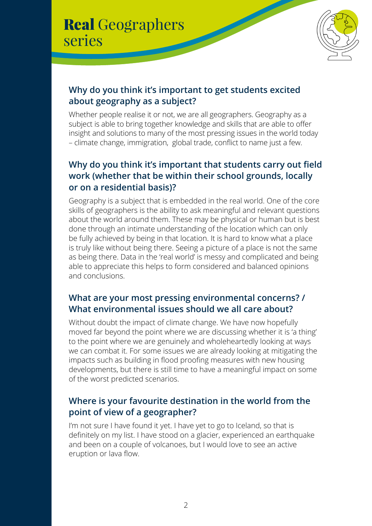# Real Geographers series



# **Why do you think it's important to get students excited about geography as a subject?**

Whether people realise it or not, we are all geographers. Geography as a subject is able to bring together knowledge and skills that are able to offer insight and solutions to many of the most pressing issues in the world today – climate change, immigration, global trade, conflict to name just a few.

# **Why do you think it's important that students carry out field work (whether that be within their school grounds, locally or on a residential basis)?**

Geography is a subject that is embedded in the real world. One of the core skills of geographers is the ability to ask meaningful and relevant questions about the world around them. These may be physical or human but is best done through an intimate understanding of the location which can only be fully achieved by being in that location. It is hard to know what a place is truly like without being there. Seeing a picture of a place is not the same as being there. Data in the 'real world' is messy and complicated and being able to appreciate this helps to form considered and balanced opinions and conclusions.

#### **What are your most pressing environmental concerns? / What environmental issues should we all care about?**

Without doubt the impact of climate change. We have now hopefully moved far beyond the point where we are discussing whether it is 'a thing' to the point where we are genuinely and wholeheartedly looking at ways we can combat it. For some issues we are already looking at mitigating the impacts such as building in flood proofing measures with new housing developments, but there is still time to have a meaningful impact on some of the worst predicted scenarios.

## **Where is your favourite destination in the world from the point of view of a geographer?**

I'm not sure I have found it yet. I have yet to go to Iceland, so that is definitely on my list. I have stood on a glacier, experienced an earthquake and been on a couple of volcanoes, but I would love to see an active eruption or lava flow.